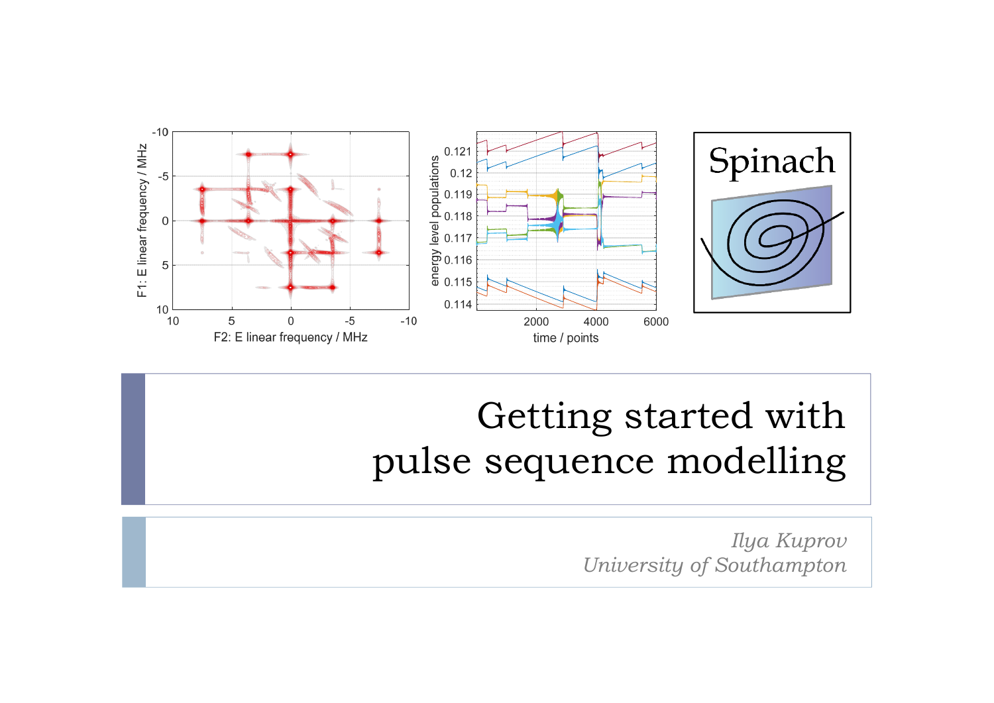

# Getting started with pulse sequence modelling

*Ilya Kuprov University of Southampton*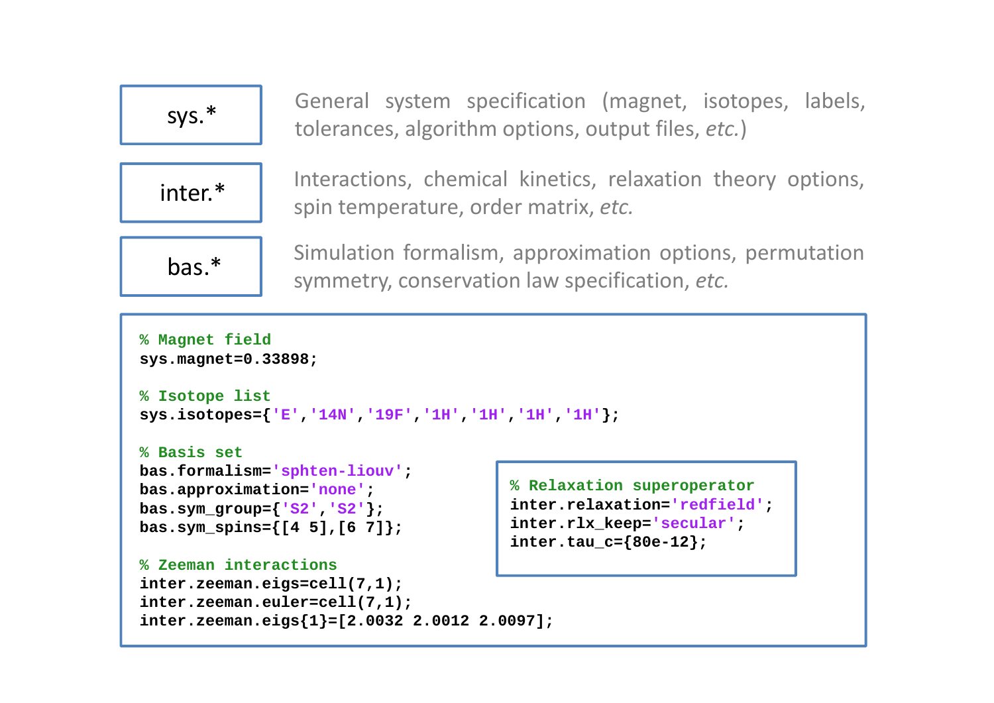

General system specification (magnet, isotopes, labels, tolerances, algorithm options, output files, *etc.*)



Interactions, chemical kinetics, relaxation theory options, spin temperature, order matrix, *etc.*



Simulation formalism, approximation options, permutation symmetry, conservation law specification, *etc.*

```
% Magnet field
sys.magnet=0.33898;
% Isotope list
sys.isotopes={'E','14N','19F','1H','1H','1H','1H'};
% Basis setbas.formalism='sphten-liouv';
bas.approximation='none';
bas.sym_group={'S2','S2'};
bas.sym_spins={[4 5],[6 7]};
% Zeeman interactionsinter.zeeman.eigs=cell(7,1);
inter.zeeman.euler=cell(7,1);
inter.zeeman.eigs{1}=[2.0032 2.0012 2.0097];
```

```
% Relaxation superoperator
inter.relaxation='redfield';
inter.rlx_keep='secular';
inter.tau_c={80e-12};
```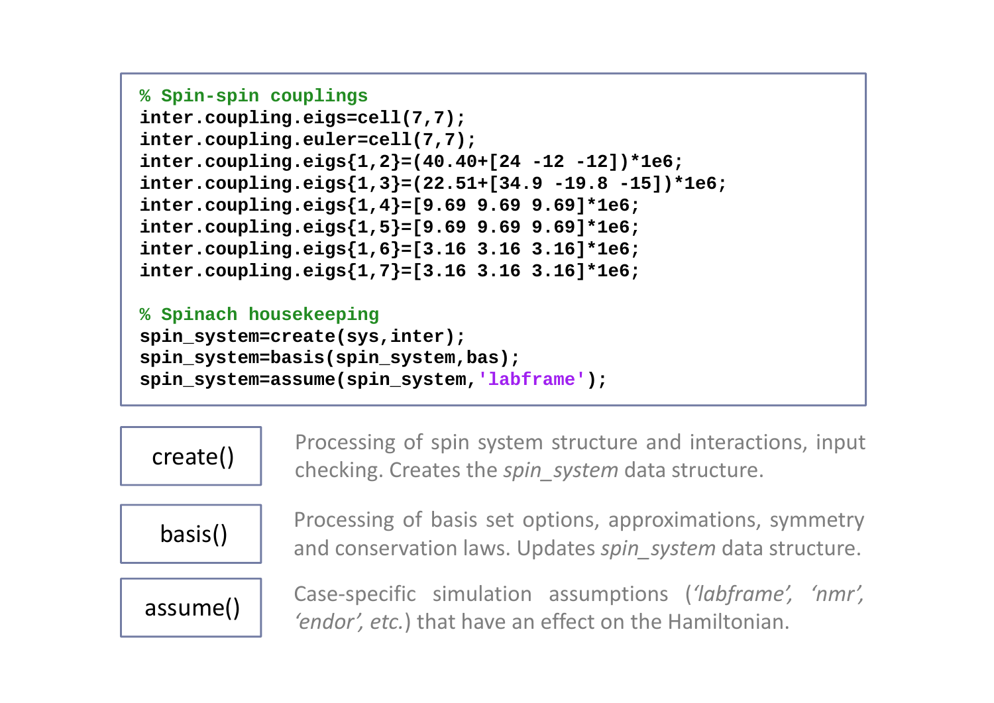```
% Spin-spin couplings
inter.coupling.eigs=cell(7,7);
inter.coupling.euler=cell(7,7);
inter.coupling.eigs{1,2}=(40.40+[24 -12 -12])*1e6;
inter.coupling.eigs{1,3}=(22.51+[34.9 -19.8 -15])*1e6;
inter.coupling.eigs{1,4}=[9.69 9.69 9.69]*1e6;
inter.coupling.eigs{1,5}=[9.69 9.69 9.69]*1e6;
inter.coupling.eigs{1,6}=[3.16 3.16 3.16]*1e6;
inter.coupling.eigs{1,7}=[3.16 3.16 3.16]*1e6;
% Spinach housekeeping
```

```
spin_system=create(sys,inter);
spin_system=basis(spin_system,bas);
spin system=assume(spin system, 'labframe');
```


Processing of spin system structure and interactions, input checking. Creates the *spin\_system* data structure.



Processing of basis set options, approximations, symmetry and conservation laws. Updates *spin\_system* data structure.



Case‐specific simulation assumptions (*'labframe', 'nmr', 'endor', etc.*) that have an effect on the Hamiltonian.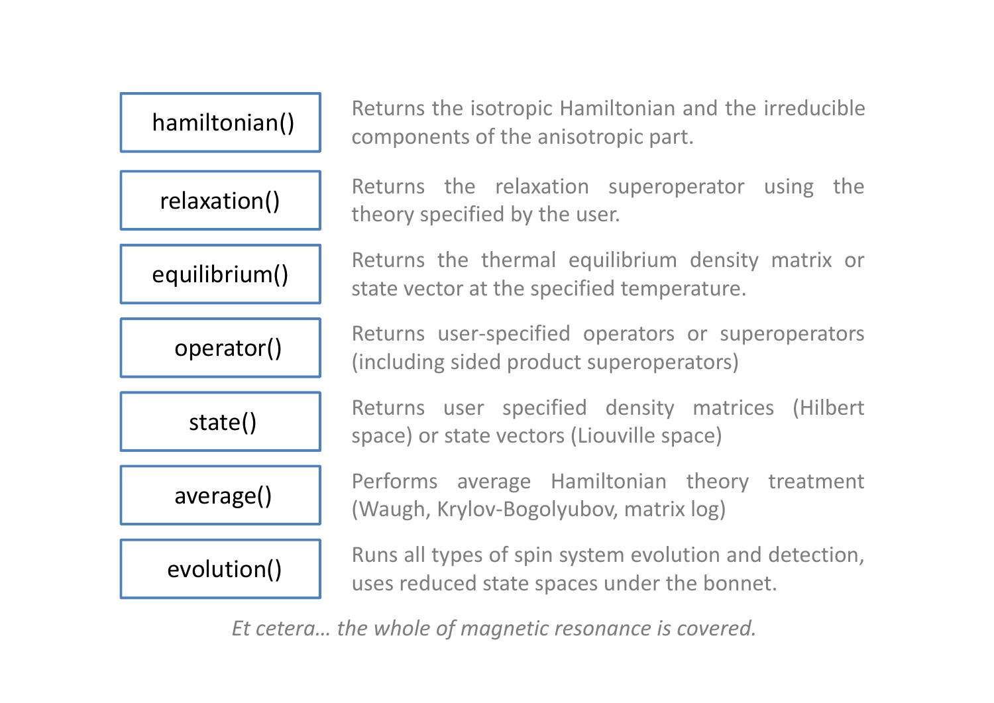

*Et cetera… the whole of magnetic resonance is covered.*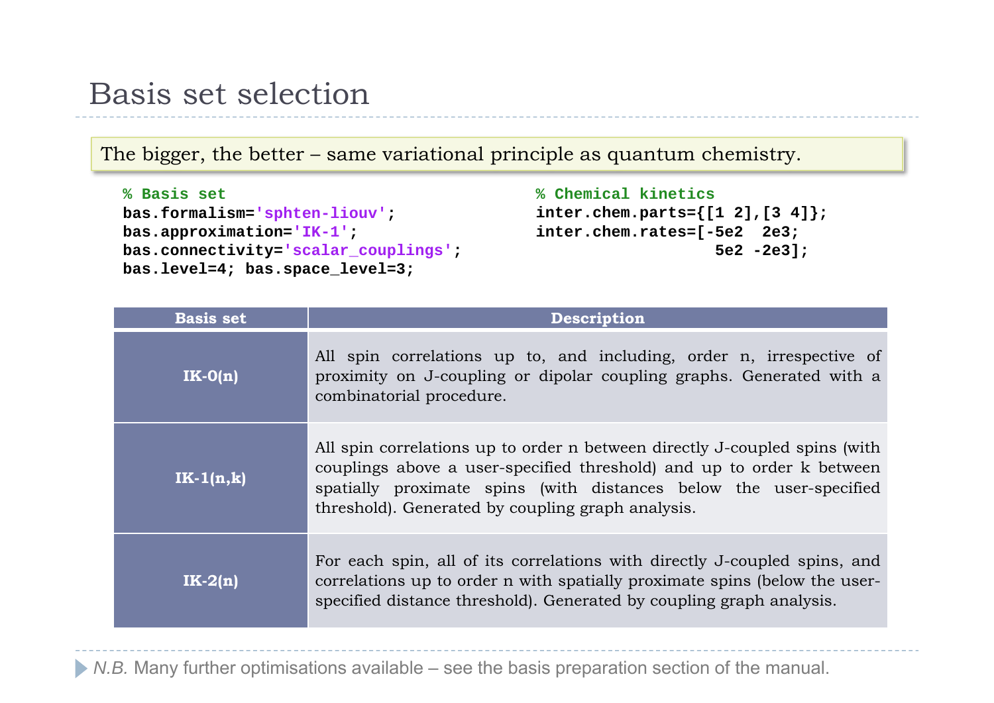## Basis set selection

The bigger, the better – same variational principle as quantum chemistry.

**% Basis setbas.formalism='sphten-liouv'; bas.approximation='IK-1'; bas.connectivity='scalar\_couplings'; bas.level=4; bas.space\_level=3;**

```
% Chemical kineticsinter.chem.parts={[1 2],[3 4]};
inter.chem.rates=[-5e2 2e3; 
                   5e2 -2e3];
```

| <b>Basis set</b> | <b>Description</b>                                                                                                                                                                                                                                                             |
|------------------|--------------------------------------------------------------------------------------------------------------------------------------------------------------------------------------------------------------------------------------------------------------------------------|
| $IK-O(n)$        | All spin correlations up to, and including, order n, irrespective of<br>proximity on J-coupling or dipolar coupling graphs. Generated with a<br>combinatorial procedure.                                                                                                       |
| $IK-1(n,k)$      | All spin correlations up to order n between directly J-coupled spins (with<br>couplings above a user-specified threshold) and up to order k between<br>spatially proximate spins (with distances below the user-specified<br>threshold). Generated by coupling graph analysis. |
| $IK-2(n)$        | For each spin, all of its correlations with directly J-coupled spins, and<br>correlations up to order n with spatially proximate spins (below the user-<br>specified distance threshold). Generated by coupling graph analysis.                                                |

*N.B.* Many further optimisations available – see the basis preparation section of the manual.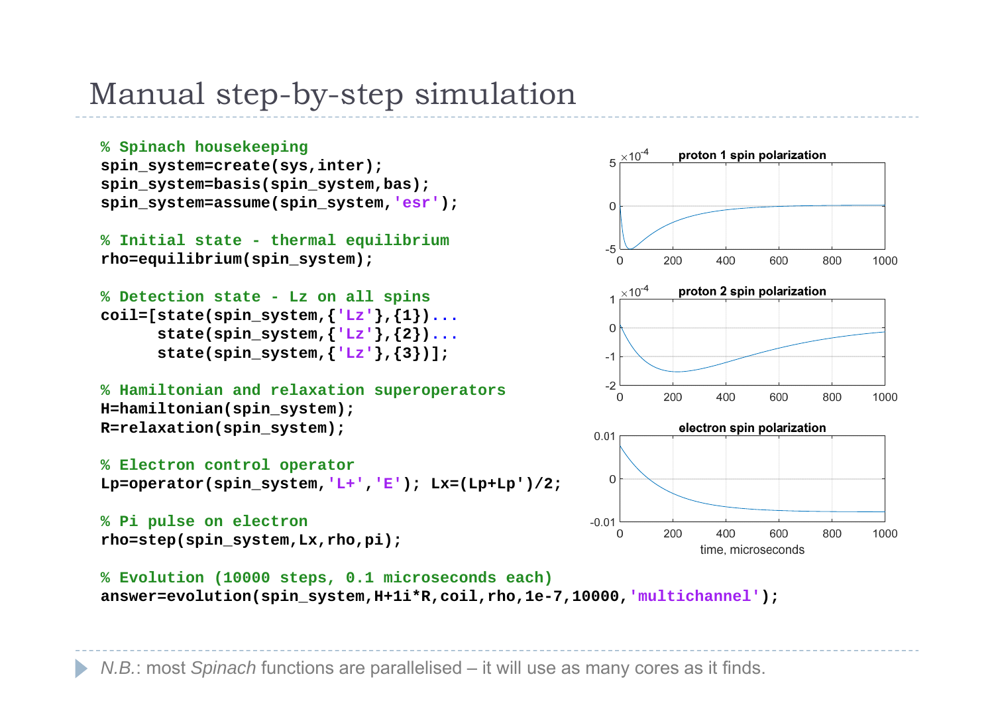# Manual step-by-step simulation

#### **% Spinach housekeeping**

**spin\_system=create(sys,inter); spin\_system=basis(spin\_system,bas);** spin system=assume(spin system, 'esr');

**% Initial state - thermal equilibrium rho=equilibrium(spin\_system);**

**% Detection state - Lz on all spins coil=[state(spin\_system,{'Lz'},{1})... state(spin\_system,{'Lz'},{2})... state(spin\_system,{'Lz'},{3})];**

**% Hamiltonian and relaxation superoperators H=hamiltonian(spin\_system); R=relaxation(spin\_system);**

**% Electron control operator Lp=operator(spin\_system,'L+','E'); Lx=(Lp+Lp')/2;**

**% Pi pulse on electron rho=step(spin\_system,Lx,rho,pi);**



**% Evolution (10000 steps, 0.1 microseconds each) answer=evolution(spin\_system,H+1i\*R,coil,rho,1e-7,10000,'multichannel');**

*N.B.*: most *Spinach* functions are parallelised – it will use as many cores as it finds.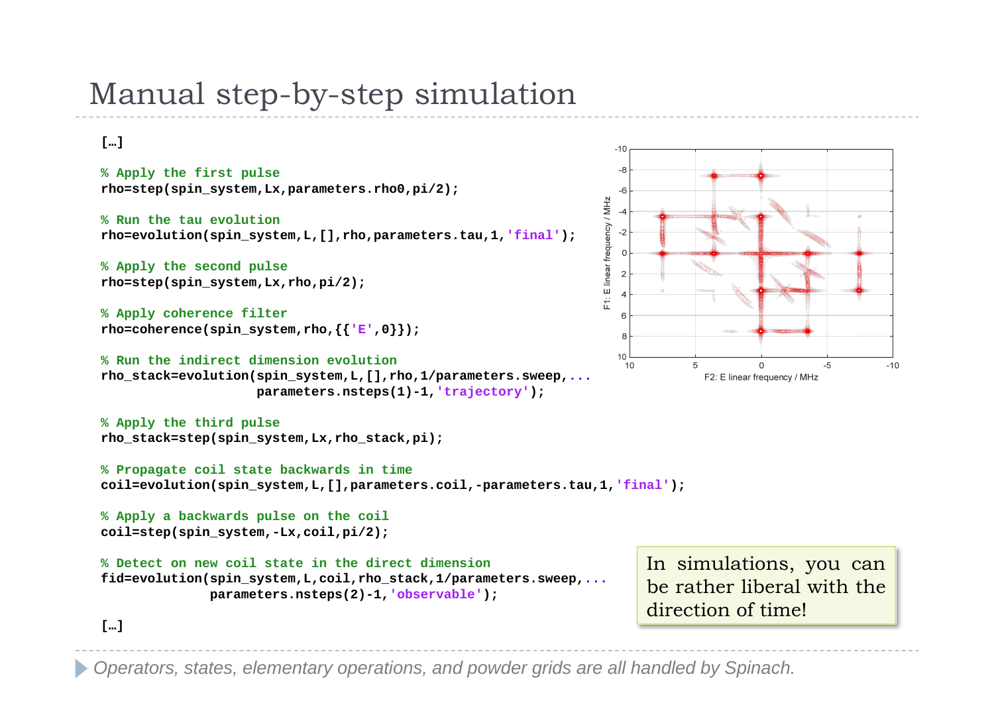# Manual step-by-step simulation

#### **[…]**

**% Apply the first pulse rho=step(spin\_system,Lx,parameters.rho0,pi/2);**

**% Run the tau evolutionrho=evolution(spin\_system,L,[],rho,parameters.tau,1,'final');**

**% Apply the second pulse rho=step(spin\_system,Lx,rho,pi/2);**

**% Apply coherence filter rho=coherence(spin\_system,rho,{{'E',0}});**

**% Run the indirect dimension evolutionrho\_stack=evolution(spin\_system,L,[],rho,1/parameters.sweep,... parameters.nsteps(1)-1,'trajectory');**

```
% Apply the third pulse
rho_stack=step(spin_system,Lx,rho_stack,pi);
```

```
% Propagate coil state backwards in time
coil=evolution(spin_system,L,[],parameters.coil,-parameters.tau,1,'final');
```

```
% Apply a backwards pulse on the coil
coil=step(spin_system,-Lx,coil,pi/2);
```

```
% Detect on new coil state in the direct dimensionfid=evolution(spin_system,L,coil,rho_stack,1/parameters.sweep,...
              parameters.nsteps(2)-1,'observable');
```
In simulations, you can be rather liberal with thedirection of time!

**[…]**

*Operators, states, elementary operations, and powder grids are all handled by Spinach.*

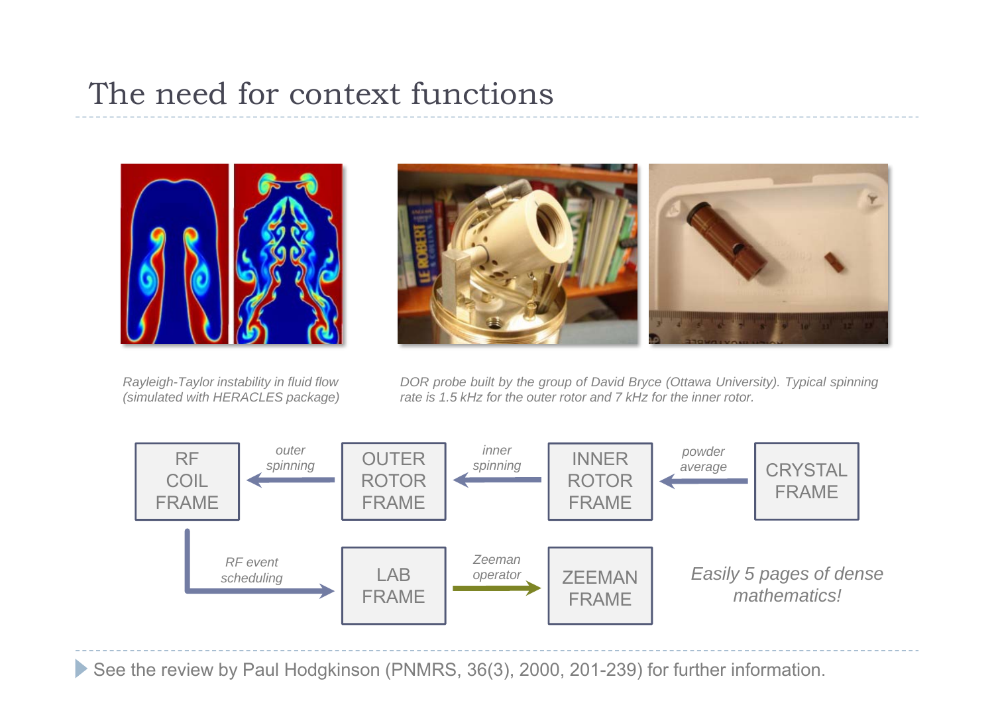# The need for context functions



*Rayleigh-Taylor instability in fluid flow (simulated with HERACLES package)*



DOR probe built by the group of David Bryce (Ottawa University). Typical spinning rate is 1.5 kHz for the outer rotor and 7 kHz for the inner rotor



See the review by Paul Hodgkinson (PNMRS, 36(3), 2000, 201-239) for further information.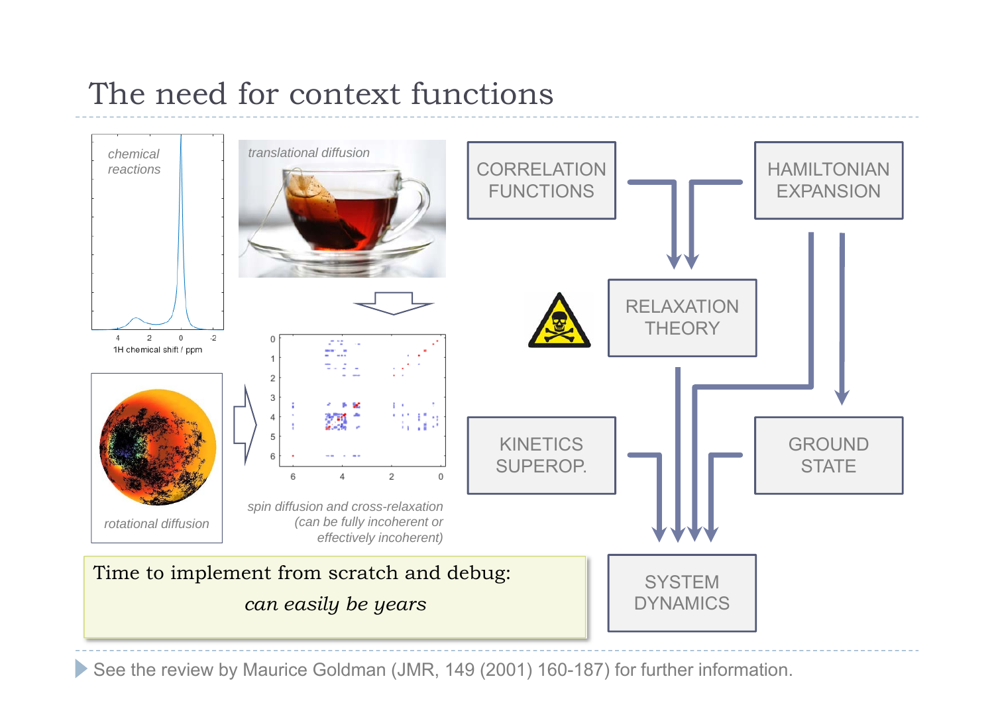# The need for context functions



See the review by Maurice Goldman (JMR, 149 (2001) 160-187) for further information.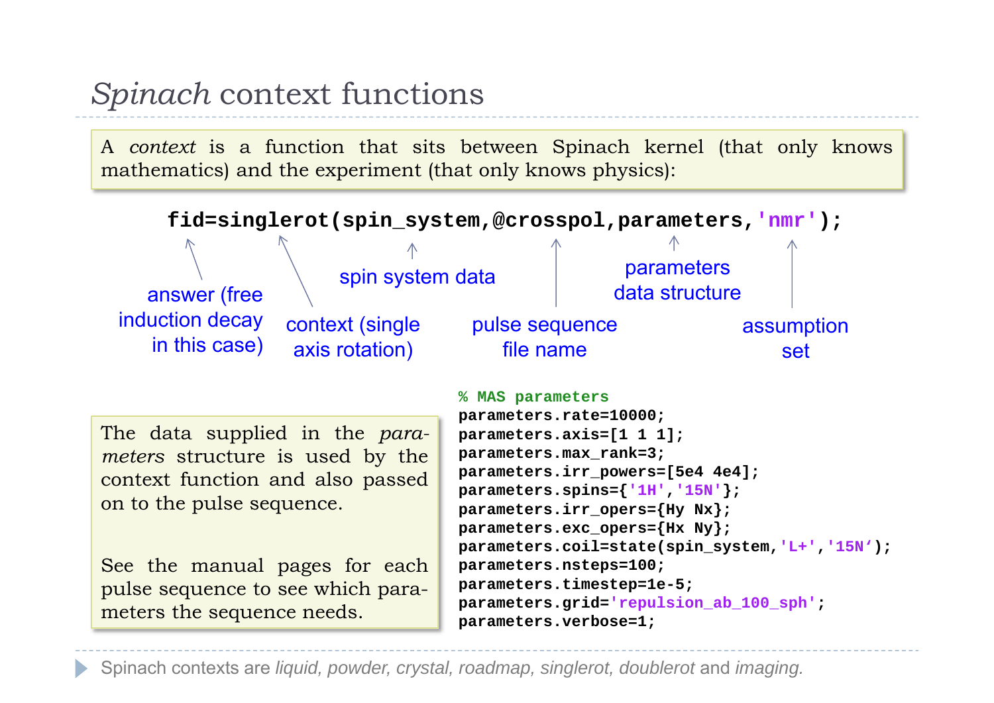# *Spinach* context functions

A *context* is <sup>a</sup> function that sits between Spinach kernel (that only knows mathematics) and the experiment (that only knows physics):



Spinach contexts are *liquid, powder, crystal, roadmap, singlerot, doublerot* and *imaging.*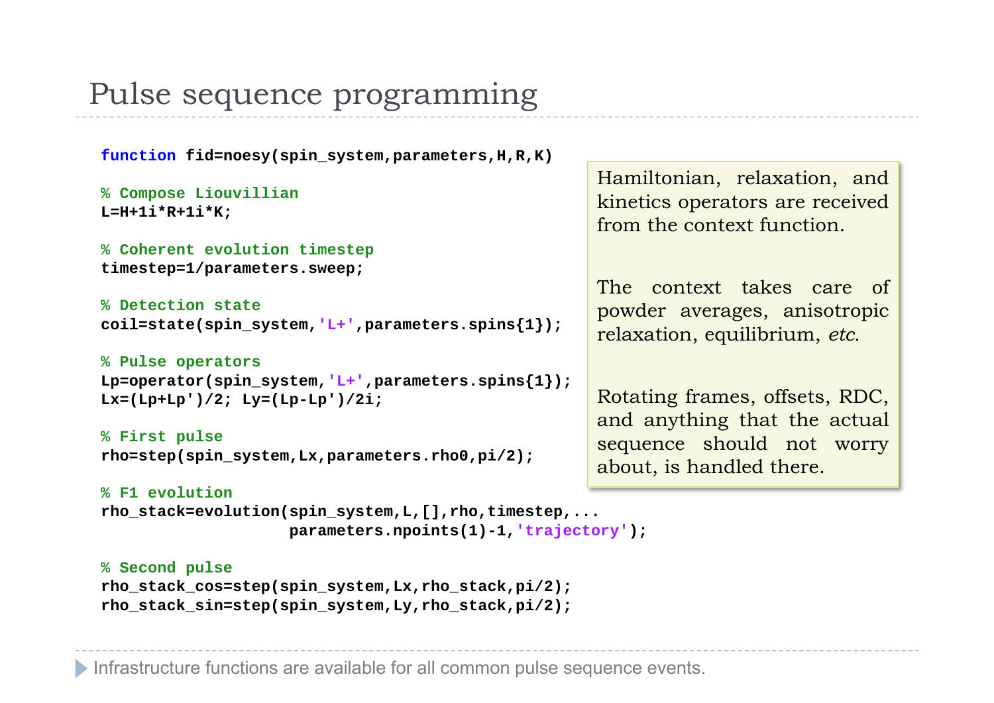### Pulse sequence programming

**function fid=noesy(spin\_system,parameters,H,R,K) % Compose Liouvillian L=H+1i\*R+1i\*K; % Coherent evolution timestep timestep=1/parameters.sweep; % Detection statecoil=state(spin\_system,'L+',parameters.spins{1}); % Pulse operators Lp=operator(spin\_system,'L+',parameters.spins{1}); Lx=(Lp+Lp')/2; Ly=(Lp-Lp')/2i; % First pulse rho=step(spin\_system,Lx,parameters.rho0,pi/2);**

**% F1 evolutionrho\_stack=evolution(spin\_system,L,[],rho,timestep,... parameters.npoints(1)-1,'trajectory');**

#### **% Second pulse rho\_stack\_cos=step(spin\_system,Lx,rho\_stack,pi/2); rho\_stack\_sin=step(spin\_system,Ly,rho\_stack,pi/2);**

Hamiltonian, relaxation, and kinetics operators are received from the context function.

The context takes care ofpowder averages, anisotropic relaxation, equilibrium, *etc.*

Rotating frames, offsets, RDC, and anything that the actual sequence should not worry about, is handled there.

Infrastructure functions are available for all common pulse sequence events.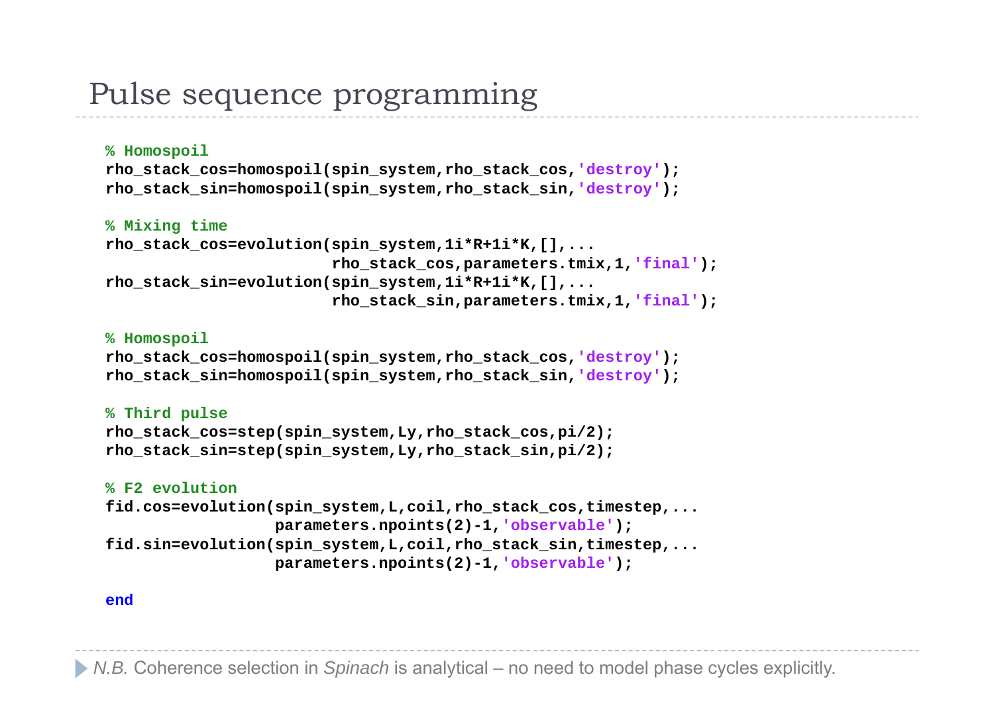### Pulse sequence programming

#### **% Homospoil**

```
rho_stack_cos=homospoil(spin_system,rho_stack_cos,'destroy');
rho_stack_sin=homospoil(spin_system,rho_stack_sin,'destroy');
```
#### **% Mixing time**

```
rho_stack_cos=evolution(spin_system,1i*R+1i*K,[],...
                        rho_stack_cos,parameters.tmix,1,'final');
rho_stack_sin=evolution(spin_system,1i*R+1i*K,[],...
                        rho_stack_sin,parameters.tmix,1,'final');
```
#### **% Homospoil**

```
rho_stack_cos=homospoil(spin_system,rho_stack_cos,'destroy');
rho_stack_sin=homospoil(spin_system,rho_stack_sin,'destroy');
```
#### **% Third pulse**

```
rho_stack_cos=step(spin_system,Ly,rho_stack_cos,pi/2);
rho_stack_sin=step(spin_system,Ly,rho_stack_sin,pi/2);
```
#### **% F2 evolution**

```
fid.cos=evolution(spin_system,L,coil,rho_stack_cos,timestep,...
                  parameters.npoints(2)-1,'observable');
fid.sin=evolution(spin_system,L,coil,rho_stack_sin,timestep,...
                  parameters.npoints(2)-1,'observable');
```
#### **end**

*N.B.* Coherence selection in *Spinach* is analytical – no need to model phase cycles explicitly.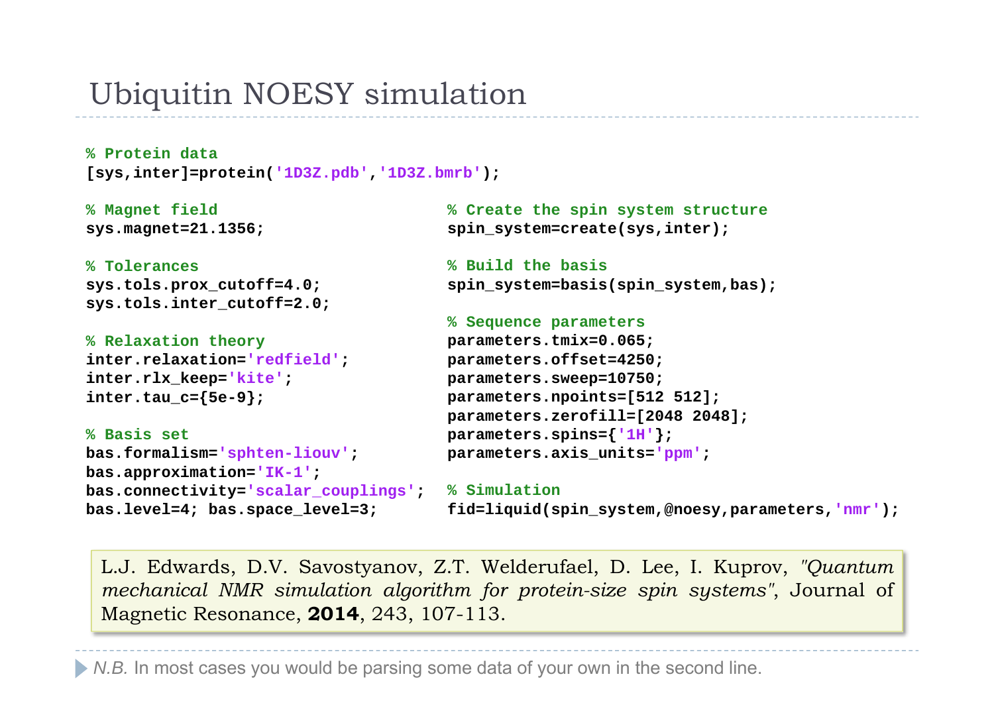## Ubiquitin NOESY simulation

**% Protein data[sys,inter]=protein('1D3Z.pdb','1D3Z.bmrb');**

**% Magnet field sys.magnet=21.1356;**

**% Tolerancessys.tols.prox\_cutoff=4.0; sys.tols.inter\_cutoff=2.0;**

**% Relaxation theory inter.relaxation='redfield'; inter.rlx\_keep='kite'; inter.tau\_c={5e-9};**

**% Basis setbas.formalism='sphten-liouv'; bas.approximation='IK-1'; bas.connectivity='scalar\_couplings'; bas.level=4; bas.space\_level=3;**

**% Create the spin system structure spin\_system=create(sys,inter);**

**% Build the basisspin\_system=basis(spin\_system,bas);**

```
% Sequence parameters
parameters.tmix=0.065;
parameters.offset=4250;
parameters.sweep=10750;
parameters.npoints=[512 512];
parameters.zerofill=[2048 2048];
parameters.spins={'1H'};
parameters.axis_units='ppm';
```
**% Simulationfid=liquid(spin\_system,@noesy,parameters,'nmr');**

L.J. Edwards, D.V. Savostyanov, Z.T. Welderufael, D. Lee, I. Kuprov, *"Quantum mechanical NMR simulation algorithm for protein-size spin systems"*, Journal of Magnetic Resonance, **2014**, 243, 107-113.

*N.B.* In most cases you would be parsing some data of your own in the second line.